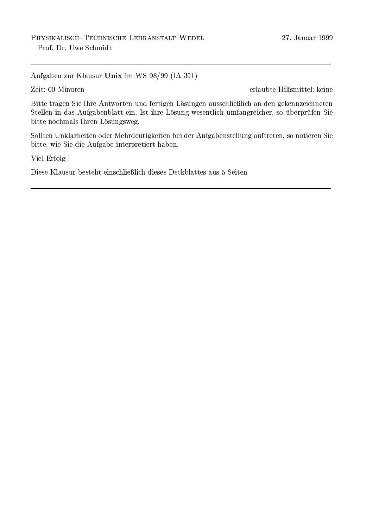Aufgaben zur Klausur Unix im WS 98/99 (IA 351)

Zeit: 60 Minuten

erlaubte Hilfsmittel: keine

Bitte tragen Sie Ihre Antworten und fertigen Lösungen ausschließlich an den gekennzeichneten Stellen in das Aufgabenblatt ein. Ist ihre Lösung wesentlich umfangreicher, so überprüfen Sie bitte nochmals Ihren Lösungsweg.

Sollten Unklarheiten oder Mehrdeutigkeiten bei der Aufgabenstellung auftreten, so notieren Sie bitte, wie Sie die Aufgabe interpretiert haben.

Viel Erfolg !

Diese Klausur besteht einschließlich dieses Deckblattes aus 5 Seiten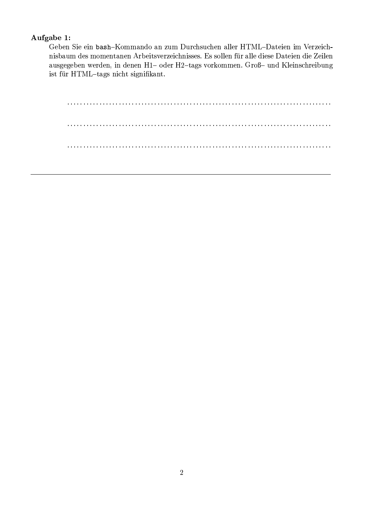## Aufgabe 1:

Geben Sie ein bash-Kommando an zum Durchsuchen aller HTML-Dateien im Verzeichnisbaum des momentanen Arbeitsverzeichnisses. Es sollen für alle diese Dateien die Zeilen ausgegeben werden, in denen H1- oder H2-tags vorkommen. Groß- und Kleinschreibung ist für HTML-tags nicht signifikant.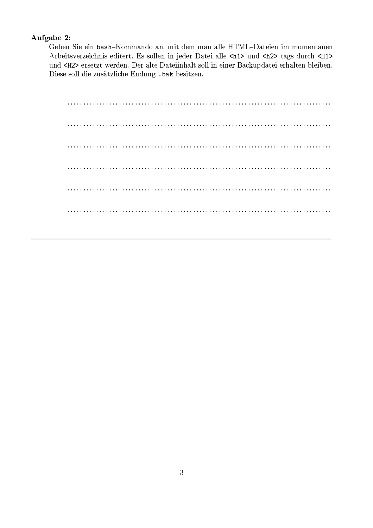## Aufgabe 2:

Geben Sie ein bash-Kommando an, mit dem man alle HTML-Dateien im momentanen Arbeitsverzeichnis editert. Es sollen in jeder Datei alle <h1> und <h2> tags durch <H1> und <H2> ersetzt werden. Der alte Dateiinhalt soll in einer Backupdatei erhalten bleiben. Diese soll die zusätzliche Endung .bak besitzen.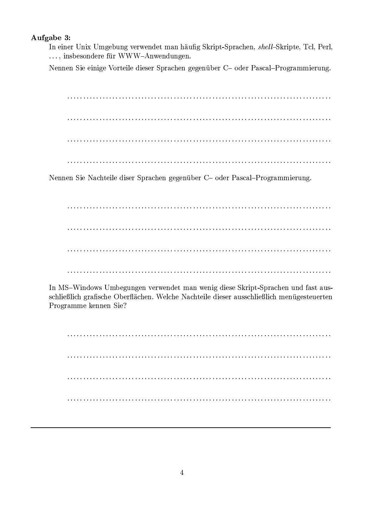## Aufgabe 3:

In einer Unix Umgebung verwendet man häufig Skript-Sprachen, shell-Skripte, Tcl, Perl, ..., insbesondere für WWW-Anwendungen.

Nennen Sie einige Vorteile dieser Sprachen gegenüber C- oder Pascal-Programmierung.

Nennen Sie Nachteile diser Sprachen gegenüber C- oder Pascal-Programmierung.

In MS-Windows Umbegungen verwendet man wenig diese Skript-Sprachen und fast ausschließlich grafische Oberflächen. Welche Nachteile dieser ausschließlich menügesteuerten Programme kennen Sie?